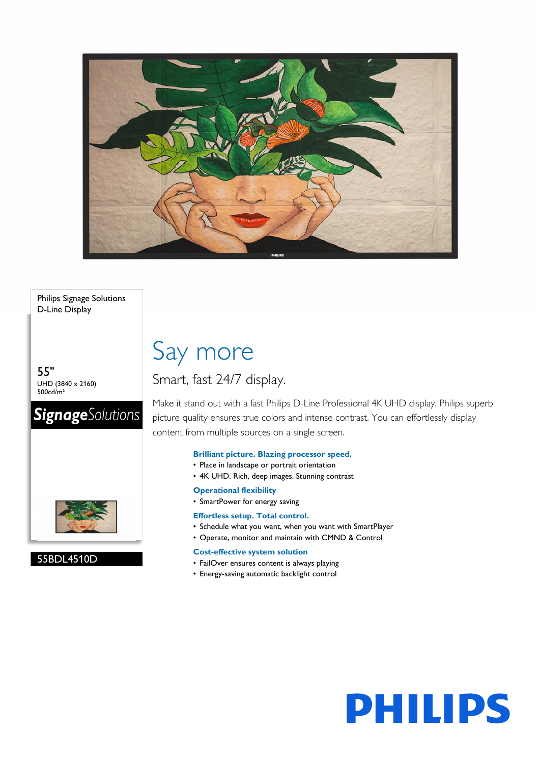

Philips Signage Solutions D-Line Display

55" UHD (3840 x 2160) 500cd/m²

### **SignageSolutions**



#### 55BDL4510D

## Say more

### Smart, fast 24/7 display.

Make it stand out with a fast Philips D-Line Professional 4K UHD display. Philips superb picture quality ensures true colors and intense contrast. You can effortlessly display content from multiple sources on a single screen.

#### **Brilliant picture. Blazing processor speed.**

- Place in landscape or portrait orientation
- 4K UHD. Rich, deep images. Stunning contrast

#### **Operational flexibility**

• SmartPower for energy saving

#### **Effortless setup. Total control.**

- Schedule what you want, when you want with SmartPlayer
- Operate, monitor and maintain with CMND & Control

#### **Cost-effective system solution**

- FailOver ensures content is always playing
- Energy-saving automatic backlight control

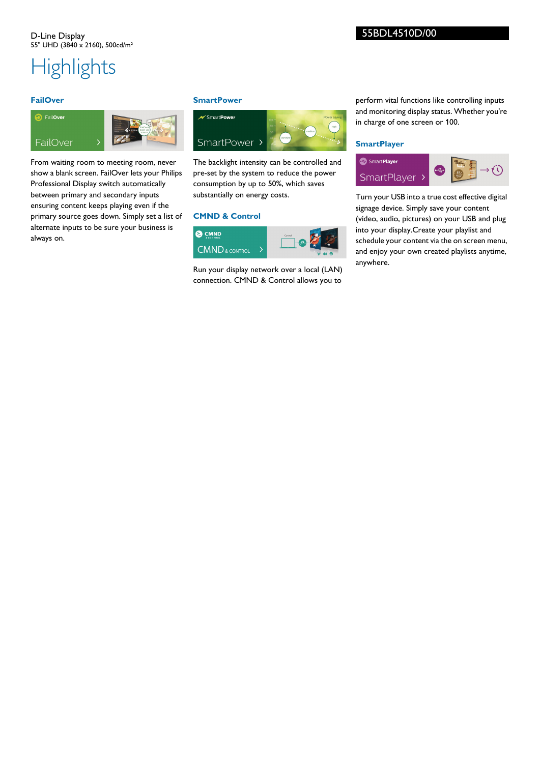# **Highlights**

#### **FailOver**

### **a** FailOver FailOver

From waiting room to meeting room, never show a blank screen. FailOver lets your Philips Professional Display switch automatically between primary and secondary inputs ensuring content keeps playing even if the primary source goes down. Simply set a list of alternate inputs to be sure your business is always on.

#### **SmartPower**



The backlight intensity can be controlled and pre-set by the system to reduce the power consumption by up to 50%, which saves substantially on energy costs.

#### **CMND & Control**



Run your display network over a local (LAN) connection. CMND & Control allows you to

perform vital functions like controlling inputs and monitoring display status. Whether you're in charge of one screen or 100.

#### **SmartPlayer**



Turn your USB into a true cost effective digital signage device. Simply save your content (video, audio, pictures) on your USB and plug into your display.Create your playlist and schedule your content via the on screen menu, and enjoy your own created playlists anytime, anywhere.